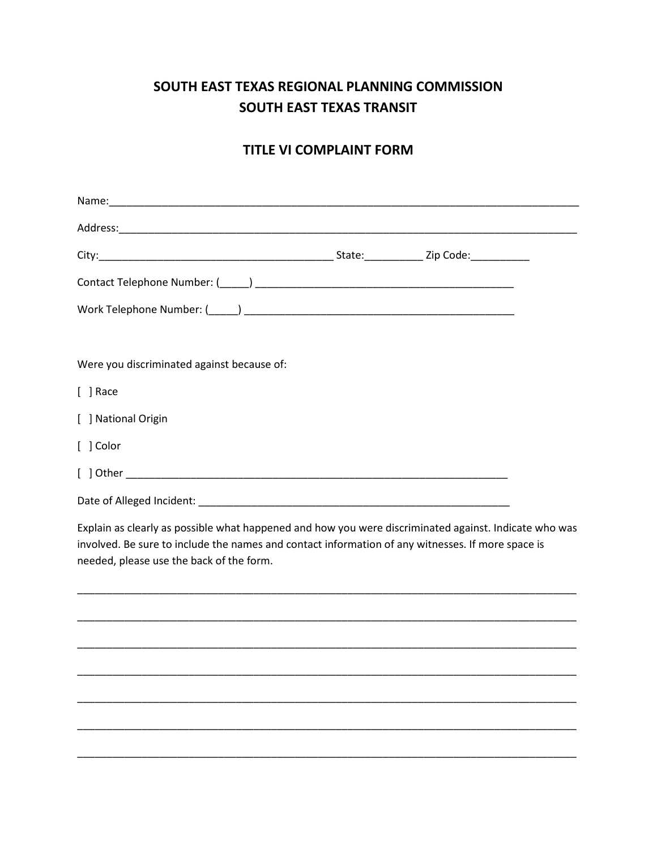## SOUTH EAST TEXAS REGIONAL PLANNING COMMISSION **SOUTH EAST TEXAS TRANSIT**

## **TITLE VI COMPLAINT FORM**

| Were you discriminated against because of:                                                                                                                                                                                                             |  |
|--------------------------------------------------------------------------------------------------------------------------------------------------------------------------------------------------------------------------------------------------------|--|
| $[ ]$ Race                                                                                                                                                                                                                                             |  |
| [ ] National Origin                                                                                                                                                                                                                                    |  |
| [ ] Color                                                                                                                                                                                                                                              |  |
|                                                                                                                                                                                                                                                        |  |
|                                                                                                                                                                                                                                                        |  |
| Explain as clearly as possible what happened and how you were discriminated against. Indicate who was<br>involved. Be sure to include the names and contact information of any witnesses. If more space is<br>needed, please use the back of the form. |  |
|                                                                                                                                                                                                                                                        |  |
|                                                                                                                                                                                                                                                        |  |
|                                                                                                                                                                                                                                                        |  |